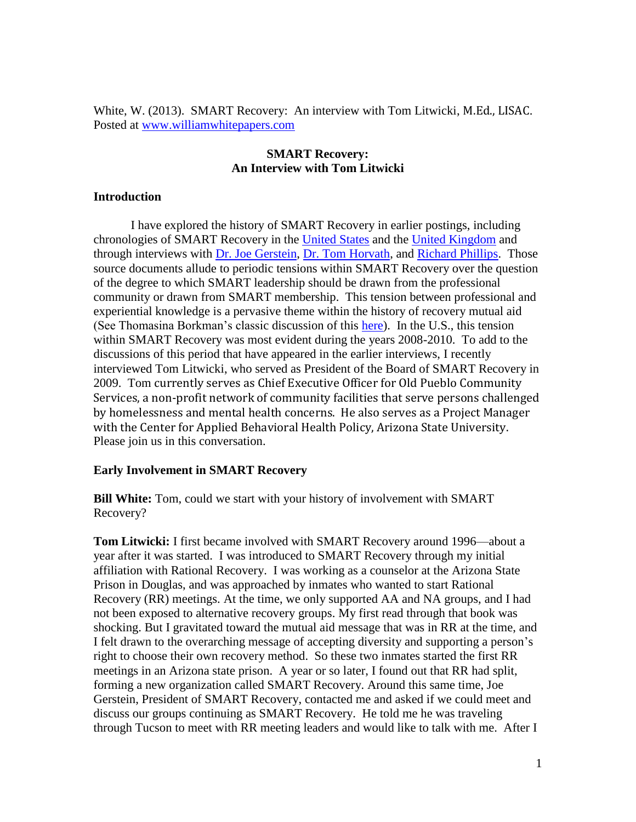White, W. (2013). SMART Recovery: An interview with Tom Litwicki, M.Ed., LISAC. Posted at [www.williamwhitepapers.com](http://www.williamwhitepapers.com/)

# **SMART Recovery: An Interview with Tom Litwicki**

# **Introduction**

I have explored the history of SMART Recovery in earlier postings, including chronologies of SMART Recovery in the [United States](http://www.williamwhitepapers.com/pr/2012%20A%20Chronology%20of%20SMART%20Recovery.pdf) and the [United Kingdom](http://www.williamwhitepapers.com/pr/Chronology%20of%20SMART%20Recovery%20UK.pdf) and through interviews with [Dr. Joe Gerstein,](http://www.williamwhitepapers.com/pr/Dr%20%20Joe%20Gerstein%20Interview%202012.pdf) [Dr. Tom Horvath,](http://www.williamwhitepapers.com/pr/History%20of%20SMART%20Recovery%20Tom%20Horvath%202012.pdf) and [Richard Phillips.](http://www.williamwhitepapers.com/pr/History%20of%20SMART%20Recovery%20UK%20Richard%20Phillips.pdf) Those source documents allude to periodic tensions within SMART Recovery over the question of the degree to which SMART leadership should be drawn from the professional community or drawn from SMART membership. This tension between professional and experiential knowledge is a pervasive theme within the history of recovery mutual aid (See Thomasina Borkman's classic discussion of this [here\)](http://www.williamwhitepapers.com/pr/Dr.%20Thomasina%20Borkman%20on%20Experiential%20Knowledge%2C%201976.pdf). In the U.S., this tension within SMART Recovery was most evident during the years 2008-2010. To add to the discussions of this period that have appeared in the earlier interviews, I recently interviewed Tom Litwicki, who served as President of the Board of SMART Recovery in 2009. Tom currently serves as Chief Executive Officer for Old Pueblo Community Services, a non-profit network of community facilities that serve persons challenged by homelessness and mental health concerns. He also serves as a Project Manager with the Center for Applied Behavioral Health Policy, Arizona State University. Please join us in this conversation.

## **Early Involvement in SMART Recovery**

**Bill White:** Tom, could we start with your history of involvement with SMART Recovery?

**Tom Litwicki:** I first became involved with SMART Recovery around 1996—about a year after it was started. I was introduced to SMART Recovery through my initial affiliation with Rational Recovery. I was working as a counselor at the Arizona State Prison in Douglas, and was approached by inmates who wanted to start Rational Recovery (RR) meetings. At the time, we only supported AA and NA groups, and I had not been exposed to alternative recovery groups. My first read through that book was shocking. But I gravitated toward the mutual aid message that was in RR at the time, and I felt drawn to the overarching message of accepting diversity and supporting a person's right to choose their own recovery method. So these two inmates started the first RR meetings in an Arizona state prison. A year or so later, I found out that RR had split, forming a new organization called SMART Recovery. Around this same time, Joe Gerstein, President of SMART Recovery, contacted me and asked if we could meet and discuss our groups continuing as SMART Recovery. He told me he was traveling through Tucson to meet with RR meeting leaders and would like to talk with me. After I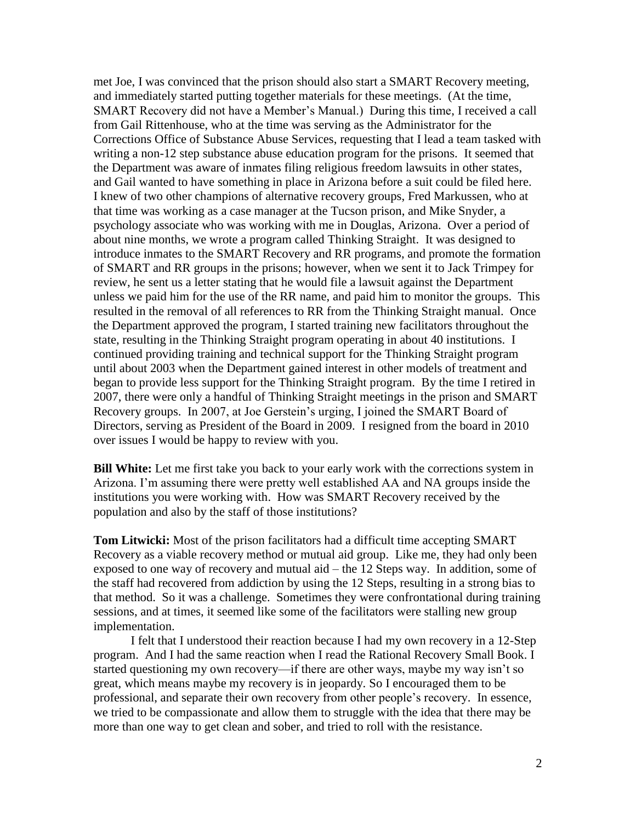met Joe, I was convinced that the prison should also start a SMART Recovery meeting, and immediately started putting together materials for these meetings. (At the time, SMART Recovery did not have a Member's Manual.) During this time, I received a call from Gail Rittenhouse, who at the time was serving as the Administrator for the Corrections Office of Substance Abuse Services, requesting that I lead a team tasked with writing a non-12 step substance abuse education program for the prisons. It seemed that the Department was aware of inmates filing religious freedom lawsuits in other states, and Gail wanted to have something in place in Arizona before a suit could be filed here. I knew of two other champions of alternative recovery groups, Fred Markussen, who at that time was working as a case manager at the Tucson prison, and Mike Snyder, a psychology associate who was working with me in Douglas, Arizona. Over a period of about nine months, we wrote a program called Thinking Straight. It was designed to introduce inmates to the SMART Recovery and RR programs, and promote the formation of SMART and RR groups in the prisons; however, when we sent it to Jack Trimpey for review, he sent us a letter stating that he would file a lawsuit against the Department unless we paid him for the use of the RR name, and paid him to monitor the groups. This resulted in the removal of all references to RR from the Thinking Straight manual. Once the Department approved the program, I started training new facilitators throughout the state, resulting in the Thinking Straight program operating in about 40 institutions. I continued providing training and technical support for the Thinking Straight program until about 2003 when the Department gained interest in other models of treatment and began to provide less support for the Thinking Straight program. By the time I retired in 2007, there were only a handful of Thinking Straight meetings in the prison and SMART Recovery groups. In 2007, at Joe Gerstein's urging, I joined the SMART Board of Directors, serving as President of the Board in 2009. I resigned from the board in 2010 over issues I would be happy to review with you.

**Bill White:** Let me first take you back to your early work with the corrections system in Arizona. I'm assuming there were pretty well established AA and NA groups inside the institutions you were working with. How was SMART Recovery received by the population and also by the staff of those institutions?

**Tom Litwicki:** Most of the prison facilitators had a difficult time accepting SMART Recovery as a viable recovery method or mutual aid group. Like me, they had only been exposed to one way of recovery and mutual aid – the 12 Steps way. In addition, some of the staff had recovered from addiction by using the 12 Steps, resulting in a strong bias to that method. So it was a challenge. Sometimes they were confrontational during training sessions, and at times, it seemed like some of the facilitators were stalling new group implementation.

I felt that I understood their reaction because I had my own recovery in a 12-Step program. And I had the same reaction when I read the Rational Recovery Small Book. I started questioning my own recovery—if there are other ways, maybe my way isn't so great, which means maybe my recovery is in jeopardy. So I encouraged them to be professional, and separate their own recovery from other people's recovery. In essence, we tried to be compassionate and allow them to struggle with the idea that there may be more than one way to get clean and sober, and tried to roll with the resistance.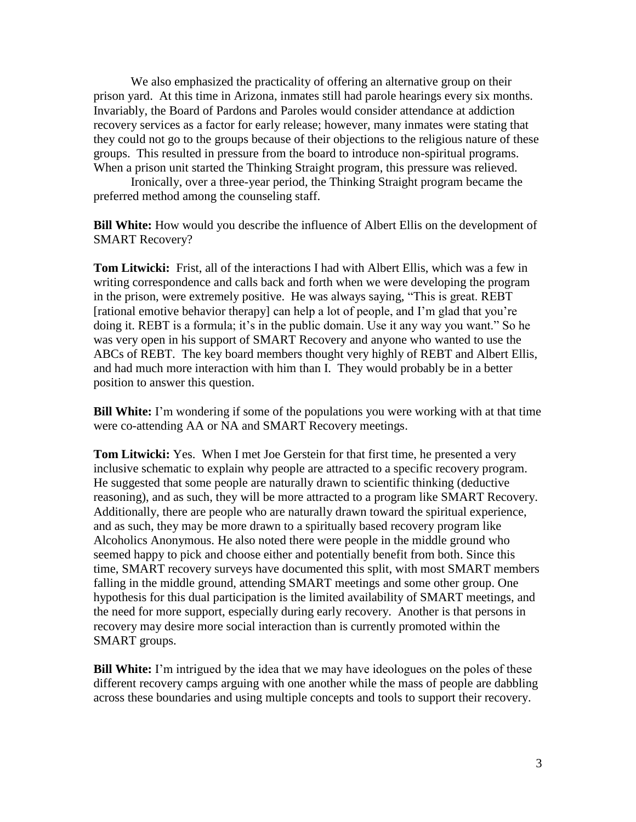We also emphasized the practicality of offering an alternative group on their prison yard. At this time in Arizona, inmates still had parole hearings every six months. Invariably, the Board of Pardons and Paroles would consider attendance at addiction recovery services as a factor for early release; however, many inmates were stating that they could not go to the groups because of their objections to the religious nature of these groups. This resulted in pressure from the board to introduce non-spiritual programs. When a prison unit started the Thinking Straight program, this pressure was relieved.

Ironically, over a three-year period, the Thinking Straight program became the preferred method among the counseling staff.

**Bill White:** How would you describe the influence of Albert Ellis on the development of SMART Recovery?

**Tom Litwicki:** Frist, all of the interactions I had with Albert Ellis, which was a few in writing correspondence and calls back and forth when we were developing the program in the prison, were extremely positive. He was always saying, "This is great. REBT [rational emotive behavior therapy] can help a lot of people, and I'm glad that you're doing it. REBT is a formula; it's in the public domain. Use it any way you want." So he was very open in his support of SMART Recovery and anyone who wanted to use the ABCs of REBT. The key board members thought very highly of REBT and Albert Ellis, and had much more interaction with him than I. They would probably be in a better position to answer this question.

**Bill White:** I'm wondering if some of the populations you were working with at that time were co-attending AA or NA and SMART Recovery meetings.

**Tom Litwicki:** Yes. When I met Joe Gerstein for that first time, he presented a very inclusive schematic to explain why people are attracted to a specific recovery program. He suggested that some people are naturally drawn to scientific thinking (deductive reasoning), and as such, they will be more attracted to a program like SMART Recovery. Additionally, there are people who are naturally drawn toward the spiritual experience, and as such, they may be more drawn to a spiritually based recovery program like Alcoholics Anonymous. He also noted there were people in the middle ground who seemed happy to pick and choose either and potentially benefit from both. Since this time, SMART recovery surveys have documented this split, with most SMART members falling in the middle ground, attending SMART meetings and some other group. One hypothesis for this dual participation is the limited availability of SMART meetings, and the need for more support, especially during early recovery. Another is that persons in recovery may desire more social interaction than is currently promoted within the SMART groups.

**Bill White:** I'm intrigued by the idea that we may have ideologues on the poles of these different recovery camps arguing with one another while the mass of people are dabbling across these boundaries and using multiple concepts and tools to support their recovery.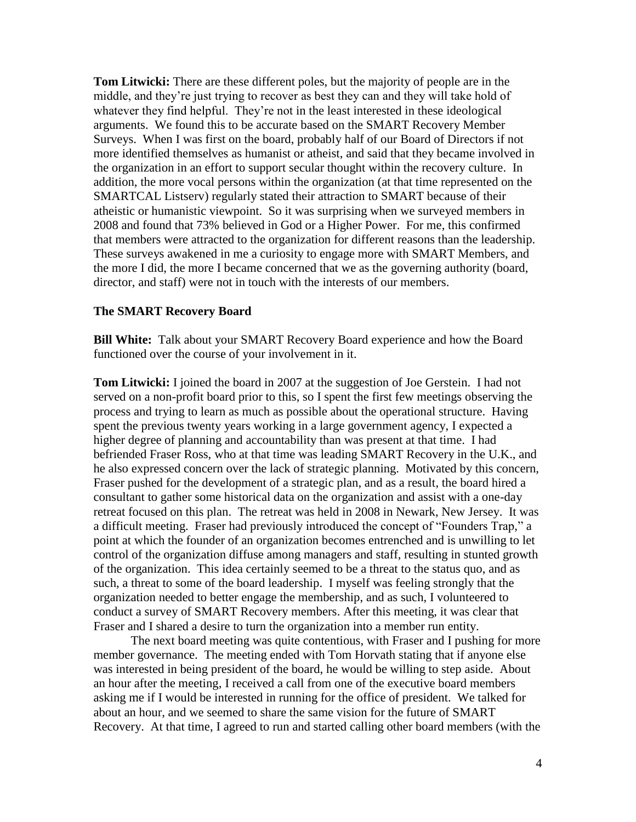**Tom Litwicki:** There are these different poles, but the majority of people are in the middle, and they're just trying to recover as best they can and they will take hold of whatever they find helpful. They're not in the least interested in these ideological arguments. We found this to be accurate based on the SMART Recovery Member Surveys. When I was first on the board, probably half of our Board of Directors if not more identified themselves as humanist or atheist, and said that they became involved in the organization in an effort to support secular thought within the recovery culture. In addition, the more vocal persons within the organization (at that time represented on the SMARTCAL Listserv) regularly stated their attraction to SMART because of their atheistic or humanistic viewpoint. So it was surprising when we surveyed members in 2008 and found that 73% believed in God or a Higher Power. For me, this confirmed that members were attracted to the organization for different reasons than the leadership. These surveys awakened in me a curiosity to engage more with SMART Members, and the more I did, the more I became concerned that we as the governing authority (board, director, and staff) were not in touch with the interests of our members.

#### **The SMART Recovery Board**

**Bill White:** Talk about your SMART Recovery Board experience and how the Board functioned over the course of your involvement in it.

**Tom Litwicki:** I joined the board in 2007 at the suggestion of Joe Gerstein. I had not served on a non-profit board prior to this, so I spent the first few meetings observing the process and trying to learn as much as possible about the operational structure. Having spent the previous twenty years working in a large government agency, I expected a higher degree of planning and accountability than was present at that time. I had befriended Fraser Ross, who at that time was leading SMART Recovery in the U.K., and he also expressed concern over the lack of strategic planning. Motivated by this concern, Fraser pushed for the development of a strategic plan, and as a result, the board hired a consultant to gather some historical data on the organization and assist with a one-day retreat focused on this plan. The retreat was held in 2008 in Newark, New Jersey. It was a difficult meeting. Fraser had previously introduced the concept of "Founders Trap," a point at which the founder of an organization becomes entrenched and is unwilling to let control of the organization diffuse among managers and staff, resulting in stunted growth of the organization. This idea certainly seemed to be a threat to the status quo, and as such, a threat to some of the board leadership. I myself was feeling strongly that the organization needed to better engage the membership, and as such, I volunteered to conduct a survey of SMART Recovery members. After this meeting, it was clear that Fraser and I shared a desire to turn the organization into a member run entity.

The next board meeting was quite contentious, with Fraser and I pushing for more member governance. The meeting ended with Tom Horvath stating that if anyone else was interested in being president of the board, he would be willing to step aside. About an hour after the meeting, I received a call from one of the executive board members asking me if I would be interested in running for the office of president. We talked for about an hour, and we seemed to share the same vision for the future of SMART Recovery. At that time, I agreed to run and started calling other board members (with the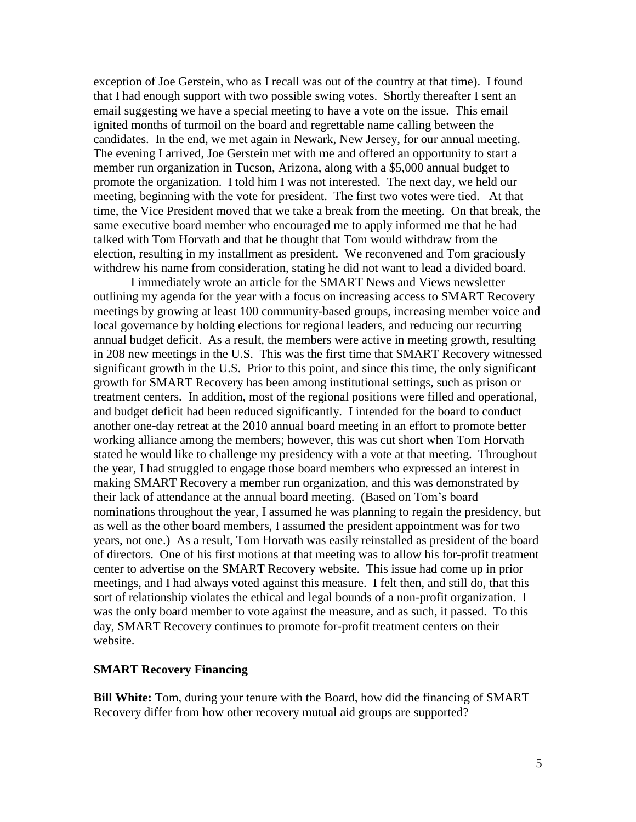exception of Joe Gerstein, who as I recall was out of the country at that time). I found that I had enough support with two possible swing votes. Shortly thereafter I sent an email suggesting we have a special meeting to have a vote on the issue. This email ignited months of turmoil on the board and regrettable name calling between the candidates. In the end, we met again in Newark, New Jersey, for our annual meeting. The evening I arrived, Joe Gerstein met with me and offered an opportunity to start a member run organization in Tucson, Arizona, along with a \$5,000 annual budget to promote the organization. I told him I was not interested. The next day, we held our meeting, beginning with the vote for president. The first two votes were tied. At that time, the Vice President moved that we take a break from the meeting. On that break, the same executive board member who encouraged me to apply informed me that he had talked with Tom Horvath and that he thought that Tom would withdraw from the election, resulting in my installment as president. We reconvened and Tom graciously withdrew his name from consideration, stating he did not want to lead a divided board.

I immediately wrote an article for the SMART News and Views newsletter outlining my agenda for the year with a focus on increasing access to SMART Recovery meetings by growing at least 100 community-based groups, increasing member voice and local governance by holding elections for regional leaders, and reducing our recurring annual budget deficit. As a result, the members were active in meeting growth, resulting in 208 new meetings in the U.S. This was the first time that SMART Recovery witnessed significant growth in the U.S. Prior to this point, and since this time, the only significant growth for SMART Recovery has been among institutional settings, such as prison or treatment centers. In addition, most of the regional positions were filled and operational, and budget deficit had been reduced significantly. I intended for the board to conduct another one-day retreat at the 2010 annual board meeting in an effort to promote better working alliance among the members; however, this was cut short when Tom Horvath stated he would like to challenge my presidency with a vote at that meeting. Throughout the year, I had struggled to engage those board members who expressed an interest in making SMART Recovery a member run organization, and this was demonstrated by their lack of attendance at the annual board meeting. (Based on Tom's board nominations throughout the year, I assumed he was planning to regain the presidency, but as well as the other board members, I assumed the president appointment was for two years, not one.) As a result, Tom Horvath was easily reinstalled as president of the board of directors. One of his first motions at that meeting was to allow his for-profit treatment center to advertise on the SMART Recovery website. This issue had come up in prior meetings, and I had always voted against this measure. I felt then, and still do, that this sort of relationship violates the ethical and legal bounds of a non-profit organization. I was the only board member to vote against the measure, and as such, it passed. To this day, SMART Recovery continues to promote for-profit treatment centers on their website.

### **SMART Recovery Financing**

**Bill White:** Tom, during your tenure with the Board, how did the financing of SMART Recovery differ from how other recovery mutual aid groups are supported?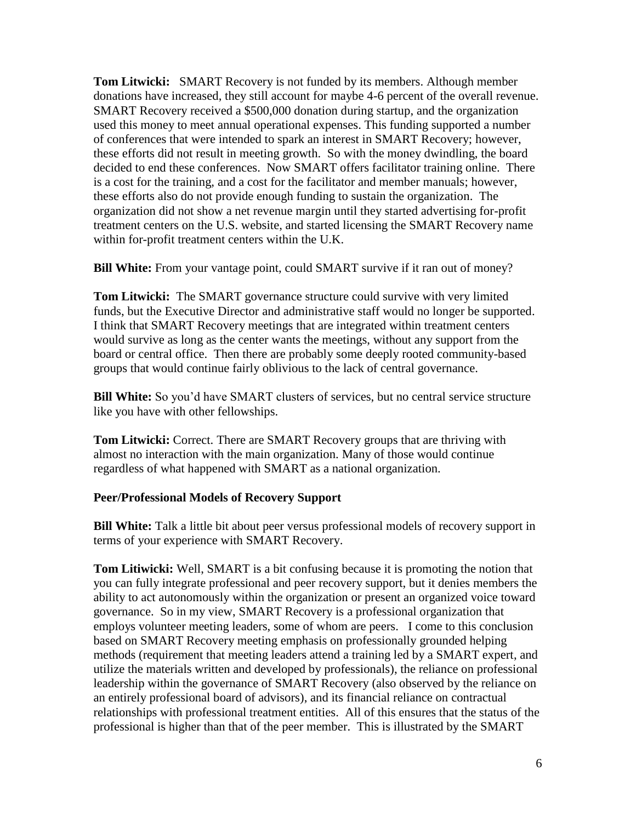**Tom Litwicki:** SMART Recovery is not funded by its members. Although member donations have increased, they still account for maybe 4-6 percent of the overall revenue. SMART Recovery received a \$500,000 donation during startup, and the organization used this money to meet annual operational expenses. This funding supported a number of conferences that were intended to spark an interest in SMART Recovery; however, these efforts did not result in meeting growth. So with the money dwindling, the board decided to end these conferences. Now SMART offers facilitator training online. There is a cost for the training, and a cost for the facilitator and member manuals; however, these efforts also do not provide enough funding to sustain the organization. The organization did not show a net revenue margin until they started advertising for-profit treatment centers on the U.S. website, and started licensing the SMART Recovery name within for-profit treatment centers within the U.K.

**Bill White:** From your vantage point, could SMART survive if it ran out of money?

**Tom Litwicki:** The SMART governance structure could survive with very limited funds, but the Executive Director and administrative staff would no longer be supported. I think that SMART Recovery meetings that are integrated within treatment centers would survive as long as the center wants the meetings, without any support from the board or central office. Then there are probably some deeply rooted community-based groups that would continue fairly oblivious to the lack of central governance.

**Bill White:** So you'd have SMART clusters of services, but no central service structure like you have with other fellowships.

**Tom Litwicki:** Correct. There are SMART Recovery groups that are thriving with almost no interaction with the main organization. Many of those would continue regardless of what happened with SMART as a national organization.

# **Peer/Professional Models of Recovery Support**

**Bill White:** Talk a little bit about peer versus professional models of recovery support in terms of your experience with SMART Recovery.

**Tom Litiwicki:** Well, SMART is a bit confusing because it is promoting the notion that you can fully integrate professional and peer recovery support, but it denies members the ability to act autonomously within the organization or present an organized voice toward governance. So in my view, SMART Recovery is a professional organization that employs volunteer meeting leaders, some of whom are peers. I come to this conclusion based on SMART Recovery meeting emphasis on professionally grounded helping methods (requirement that meeting leaders attend a training led by a SMART expert, and utilize the materials written and developed by professionals), the reliance on professional leadership within the governance of SMART Recovery (also observed by the reliance on an entirely professional board of advisors), and its financial reliance on contractual relationships with professional treatment entities. All of this ensures that the status of the professional is higher than that of the peer member. This is illustrated by the SMART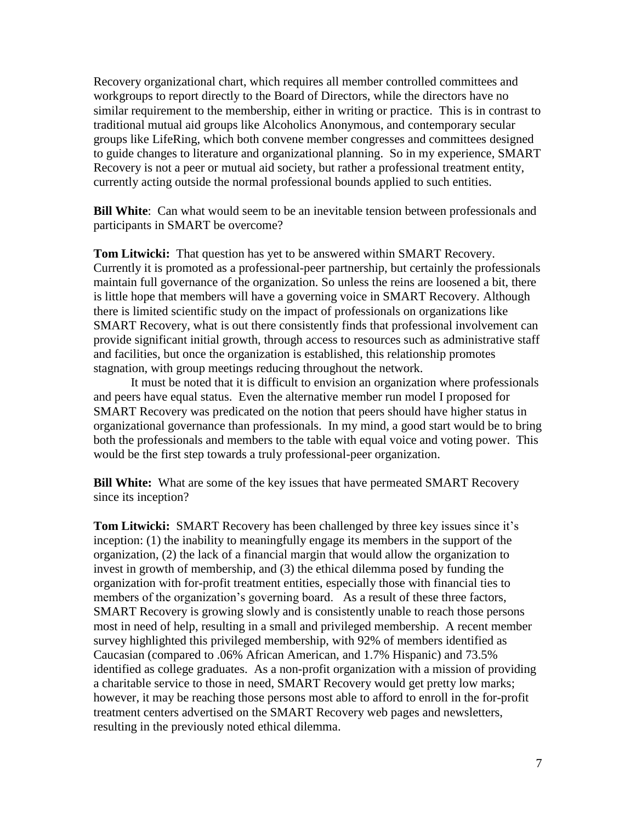Recovery organizational chart, which requires all member controlled committees and workgroups to report directly to the Board of Directors, while the directors have no similar requirement to the membership, either in writing or practice. This is in contrast to traditional mutual aid groups like Alcoholics Anonymous, and contemporary secular groups like LifeRing, which both convene member congresses and committees designed to guide changes to literature and organizational planning. So in my experience, SMART Recovery is not a peer or mutual aid society, but rather a professional treatment entity, currently acting outside the normal professional bounds applied to such entities.

**Bill White**: Can what would seem to be an inevitable tension between professionals and participants in SMART be overcome?

**Tom Litwicki:** That question has yet to be answered within SMART Recovery. Currently it is promoted as a professional-peer partnership, but certainly the professionals maintain full governance of the organization. So unless the reins are loosened a bit, there is little hope that members will have a governing voice in SMART Recovery. Although there is limited scientific study on the impact of professionals on organizations like SMART Recovery, what is out there consistently finds that professional involvement can provide significant initial growth, through access to resources such as administrative staff and facilities, but once the organization is established, this relationship promotes stagnation, with group meetings reducing throughout the network.

It must be noted that it is difficult to envision an organization where professionals and peers have equal status. Even the alternative member run model I proposed for SMART Recovery was predicated on the notion that peers should have higher status in organizational governance than professionals. In my mind, a good start would be to bring both the professionals and members to the table with equal voice and voting power. This would be the first step towards a truly professional-peer organization.

**Bill White:** What are some of the key issues that have permeated SMART Recovery since its inception?

**Tom Litwicki:** SMART Recovery has been challenged by three key issues since it's inception: (1) the inability to meaningfully engage its members in the support of the organization, (2) the lack of a financial margin that would allow the organization to invest in growth of membership, and (3) the ethical dilemma posed by funding the organization with for-profit treatment entities, especially those with financial ties to members of the organization's governing board. As a result of these three factors, SMART Recovery is growing slowly and is consistently unable to reach those persons most in need of help, resulting in a small and privileged membership. A recent member survey highlighted this privileged membership, with 92% of members identified as Caucasian (compared to .06% African American, and 1.7% Hispanic) and 73.5% identified as college graduates. As a non-profit organization with a mission of providing a charitable service to those in need, SMART Recovery would get pretty low marks; however, it may be reaching those persons most able to afford to enroll in the for-profit treatment centers advertised on the SMART Recovery web pages and newsletters, resulting in the previously noted ethical dilemma.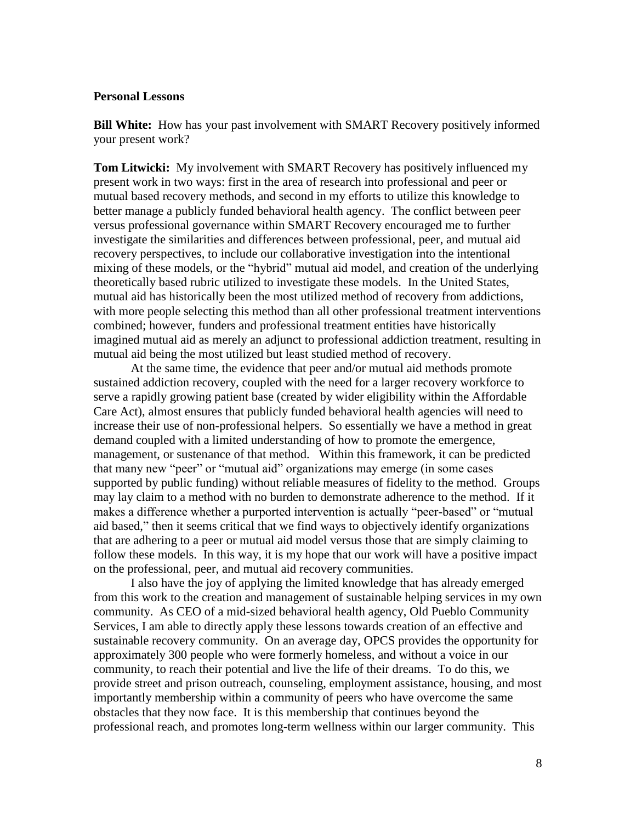## **Personal Lessons**

**Bill White:** How has your past involvement with SMART Recovery positively informed your present work?

**Tom Litwicki:** My involvement with SMART Recovery has positively influenced my present work in two ways: first in the area of research into professional and peer or mutual based recovery methods, and second in my efforts to utilize this knowledge to better manage a publicly funded behavioral health agency. The conflict between peer versus professional governance within SMART Recovery encouraged me to further investigate the similarities and differences between professional, peer, and mutual aid recovery perspectives, to include our collaborative investigation into the intentional mixing of these models, or the "hybrid" mutual aid model, and creation of the underlying theoretically based rubric utilized to investigate these models. In the United States, mutual aid has historically been the most utilized method of recovery from addictions, with more people selecting this method than all other professional treatment interventions combined; however, funders and professional treatment entities have historically imagined mutual aid as merely an adjunct to professional addiction treatment, resulting in mutual aid being the most utilized but least studied method of recovery.

At the same time, the evidence that peer and/or mutual aid methods promote sustained addiction recovery, coupled with the need for a larger recovery workforce to serve a rapidly growing patient base (created by wider eligibility within the Affordable Care Act), almost ensures that publicly funded behavioral health agencies will need to increase their use of non-professional helpers. So essentially we have a method in great demand coupled with a limited understanding of how to promote the emergence, management, or sustenance of that method. Within this framework, it can be predicted that many new "peer" or "mutual aid" organizations may emerge (in some cases supported by public funding) without reliable measures of fidelity to the method. Groups may lay claim to a method with no burden to demonstrate adherence to the method. If it makes a difference whether a purported intervention is actually "peer-based" or "mutual aid based," then it seems critical that we find ways to objectively identify organizations that are adhering to a peer or mutual aid model versus those that are simply claiming to follow these models. In this way, it is my hope that our work will have a positive impact on the professional, peer, and mutual aid recovery communities.

I also have the joy of applying the limited knowledge that has already emerged from this work to the creation and management of sustainable helping services in my own community. As CEO of a mid-sized behavioral health agency, Old Pueblo Community Services, I am able to directly apply these lessons towards creation of an effective and sustainable recovery community. On an average day, OPCS provides the opportunity for approximately 300 people who were formerly homeless, and without a voice in our community, to reach their potential and live the life of their dreams. To do this, we provide street and prison outreach, counseling, employment assistance, housing, and most importantly membership within a community of peers who have overcome the same obstacles that they now face. It is this membership that continues beyond the professional reach, and promotes long-term wellness within our larger community. This